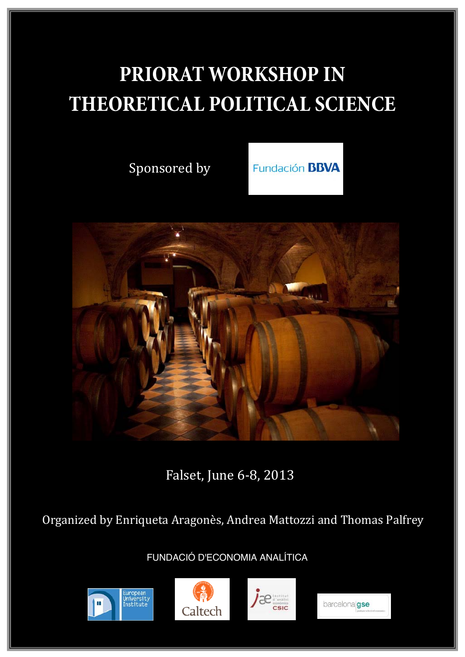# **PRIORAT WORKSHOP IN THEORETICAL POLITICAL SCIENCE**

Sponsored by

Fundación **BBVA** 



Falset, June 6‐8, 2013

Organized by Enriqueta Aragonès, Andrea Mattozzi and Thomas Palfrey

FUNDACIÓ D'ECONOMIA ANALÍTICA







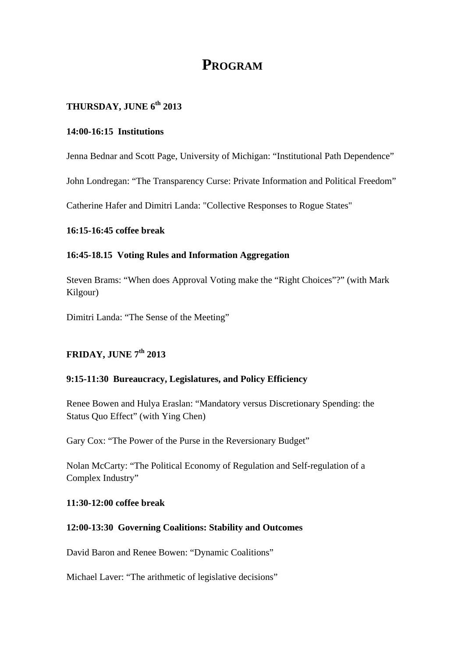## **PROGRAM**

## **THURSDAY, JUNE 6th 2013**

#### **14:00-16:15 Institutions**

Jenna Bednar and Scott Page, University of Michigan: "Institutional Path Dependence"

John Londregan: "The Transparency Curse: Private Information and Political Freedom"

Catherine Hafer and Dimitri Landa: "Collective Responses to Rogue States"

#### **16:15-16:45 coffee break**

#### **16:45-18.15 Voting Rules and Information Aggregation**

Steven Brams: "When does Approval Voting make the "Right Choices"?" (with Mark Kilgour)

Dimitri Landa: "The Sense of the Meeting"

## **FRIDAY, JUNE 7th 2013**

#### **9:15-11:30 Bureaucracy, Legislatures, and Policy Efficiency**

Renee Bowen and Hulya Eraslan: "Mandatory versus Discretionary Spending: the Status Quo Effect" (with Ying Chen)

Gary Cox: "The Power of the Purse in the Reversionary Budget"

Nolan McCarty: "The Political Economy of Regulation and Self-regulation of a Complex Industry"

#### **11:30-12:00 coffee break**

#### **12:00-13:30 Governing Coalitions: Stability and Outcomes**

David Baron and Renee Bowen: "Dynamic Coalitions"

Michael Laver: "The arithmetic of legislative decisions"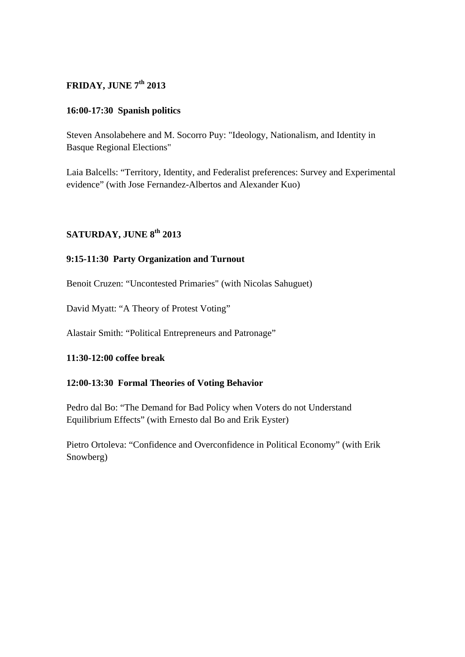## **FRIDAY, JUNE 7th 2013**

#### **16:00-17:30 Spanish politics**

Steven Ansolabehere and M. Socorro Puy: "Ideology, Nationalism, and Identity in Basque Regional Elections"

Laia Balcells: "Territory, Identity, and Federalist preferences: Survey and Experimental evidence" (with Jose Fernandez-Albertos and Alexander Kuo)

## **SATURDAY, JUNE 8th 2013**

#### **9:15-11:30 Party Organization and Turnout**

Benoit Cruzen: "Uncontested Primaries" (with Nicolas Sahuguet)

David Myatt: "A Theory of Protest Voting"

Alastair Smith: "Political Entrepreneurs and Patronage"

#### **11:30-12:00 coffee break**

#### **12:00-13:30 Formal Theories of Voting Behavior**

Pedro dal Bo: "The Demand for Bad Policy when Voters do not Understand Equilibrium Effects" (with Ernesto dal Bo and Erik Eyster)

Pietro Ortoleva: "Confidence and Overconfidence in Political Economy" (with Erik Snowberg)